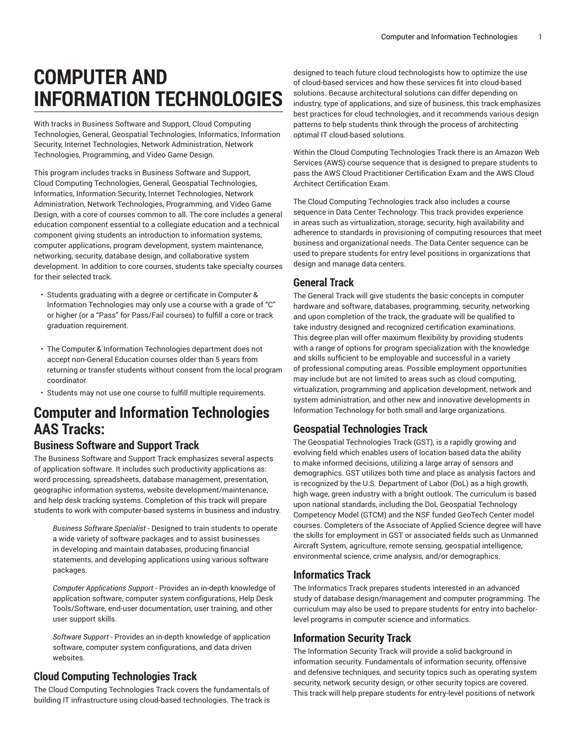# **COMPUTER AND INFORMATION TECHNOLOGIES**

With tracks in Business Software and Support, Cloud Computing Technologies, General, Geospatial Technologies, Informatics, Information Security, Internet Technologies, Network Administration, Network Technologies, Programming, and Video Game Design.

This program includes tracks in Business Software and Support, Cloud Computing Technologies, General, Geospatial Technologies, Informatics, Information Security, Internet Technologies, Network Administration, Network Technologies, Programming, and Video Game Design, with a core of courses common to all. The core includes a general education component essential to a collegiate education and a technical component giving students an introduction to information systems, computer applications, program development, system maintenance, networking, security, database design, and collaborative system development. In addition to core courses, students take specialty courses for their selected track.

- Students graduating with a degree or certificate in Computer & Information Technologies may only use a course with a grade of "C" or higher (or a "Pass" for Pass/Fail courses) to fulfill a core or track graduation requirement.
- The Computer & Information Technologies department does not accept non-General Education courses older than 5 years from returning or transfer students without consent from the local program coordinator.
- Students may not use one course to fulfill multiple requirements.

# **Computer and Information Technologies AAS Tracks:**

#### **Business Software and Support Track**

The Business Software and Support Track emphasizes several aspects of application software. It includes such productivity applications as: word processing, spreadsheets, database management, presentation, geographic information systems, website development/maintenance, and help desk tracking systems. Completion of this track will prepare students to work with computer-based systems in business and industry.

*Business Software Specialist* - Designed to train students to operate a wide variety of software packages and to assist businesses in developing and maintain databases, producing financial statements, and developing applications using various software packages.

*Computer Applications Support* - Provides an in-depth knowledge of application software, computer system configurations, Help Desk Tools/Software, end-user documentation, user training, and other user support skills.

*Software Support* - Provides an in-depth knowledge of application software, computer system configurations, and data driven websites.

#### **Cloud Computing Technologies Track**

The Cloud Computing Technologies Track covers the fundamentals of building IT infrastructure using cloud-based technologies. The track is

designed to teach future cloud technologists how to optimize the use of cloud-based services and how these services fit into cloud-based solutions. Because architectural solutions can differ depending on industry, type of applications, and size of business, this track emphasizes best practices for cloud technologies, and it recommends various design patterns to help students think through the process of architecting optimal IT cloud-based solutions.

Within the Cloud Computing Technologies Track there is an Amazon Web Services (AWS) course sequence that is designed to prepare students to pass the AWS Cloud Practitioner Certification Exam and the AWS Cloud Architect Certification Exam.

The Cloud Computing Technologies track also includes a course sequence in Data Center Technology. This track provides experience in areas such as virtualization, storage, security, high availability and adherence to standards in provisioning of computing resources that meet business and organizational needs. The Data Center sequence can be used to prepare students for entry level positions in organizations that design and manage data centers.

#### **General Track**

The General Track will give students the basic concepts in computer hardware and software, databases, programming, security, networking and upon completion of the track, the graduate will be qualified to take industry designed and recognized certification examinations. This degree plan will offer maximum flexibility by providing students with a range of options for program specialization with the knowledge and skills sufficient to be employable and successful in a variety of professional computing areas. Possible employment opportunities may include but are not limited to areas such as cloud computing, virtualization, programming and application development, network and system administration, and other new and innovative developments in Information Technology for both small and large organizations.

# **Geospatial Technologies Track**

The Geospatial Technologies Track (GST), is a rapidly growing and evolving field which enables users of location based data the ability to make informed decisions, utilizing a large array of sensors and demographics. GST utilizes both time and place as analysis factors and is recognized by the U.S. Department of Labor (DoL) as a high growth, high wage, green industry with a bright outlook. The curriculum is based upon national standards, including the DoL Geospatial Technology Competency Model (GTCM) and the NSF funded GeoTech Center model courses. Completers of the Associate of Applied Science degree will have the skills for employment in GST or associated fields such as Unmanned Aircraft System, agriculture, remote sensing, geospatial intelligence, environmental science, crime analysis, and/or demographics.

# **Informatics Track**

The Informatics Track prepares students interested in an advanced study of database design/management and computer programming. The curriculum may also be used to prepare students for entry into bachelorlevel programs in computer science and informatics.

#### **Information Security Track**

The Information Security Track will provide a solid background in information security. Fundamentals of information security, offensive and defensive techniques, and security topics such as operating system security, network security design, or other security topics are covered. This track will help prepare students for entry-level positions of network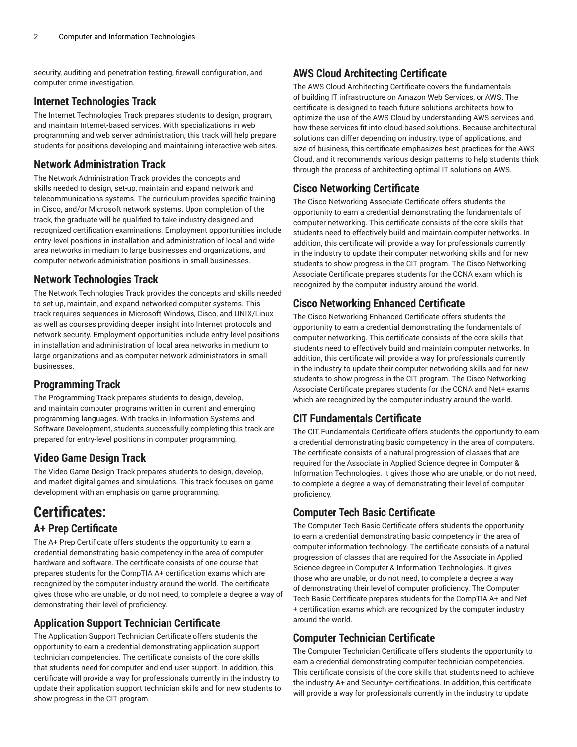security, auditing and penetration testing, firewall configuration, and computer crime investigation.

#### **Internet Technologies Track**

The Internet Technologies Track prepares students to design, program, and maintain Internet-based services. With specializations in web programming and web server administration, this track will help prepare students for positions developing and maintaining interactive web sites.

#### **Network Administration Track**

The Network Administration Track provides the concepts and skills needed to design, set-up, maintain and expand network and telecommunications systems. The curriculum provides specific training in Cisco, and/or Microsoft network systems. Upon completion of the track, the graduate will be qualified to take industry designed and recognized certification examinations. Employment opportunities include entry-level positions in installation and administration of local and wide area networks in medium to large businesses and organizations, and computer network administration positions in small businesses.

#### **Network Technologies Track**

The Network Technologies Track provides the concepts and skills needed to set up, maintain, and expand networked computer systems. This track requires sequences in Microsoft Windows, Cisco, and UNIX/Linux as well as courses providing deeper insight into Internet protocols and network security. Employment opportunities include entry-level positions in installation and administration of local area networks in medium to large organizations and as computer network administrators in small businesses.

#### **Programming Track**

The Programming Track prepares students to design, develop, and maintain computer programs written in current and emerging programming languages. With tracks in Information Systems and Software Development, students successfully completing this track are prepared for entry-level positions in computer programming.

# **Video Game Design Track**

The Video Game Design Track prepares students to design, develop, and market digital games and simulations. This track focuses on game development with an emphasis on game programming.

# **Certificates: A+ Prep Certificate**

The A+ Prep Certificate offers students the opportunity to earn a credential demonstrating basic competency in the area of computer hardware and software. The certificate consists of one course that prepares students for the CompTIA A+ certification exams which are recognized by the computer industry around the world. The certificate gives those who are unable, or do not need, to complete a degree a way of demonstrating their level of proficiency.

# **Application Support Technician Certificate**

The Application Support Technician Certificate offers students the opportunity to earn a credential demonstrating application support technician competencies. The certificate consists of the core skills that students need for computer and end-user support. In addition, this certificate will provide a way for professionals currently in the industry to update their application support technician skills and for new students to show progress in the CIT program.

# **AWS Cloud Architecting Certificate**

The AWS Cloud Architecting Certificate covers the fundamentals of building IT infrastructure on Amazon Web Services, or AWS. The certificate is designed to teach future solutions architects how to optimize the use of the AWS Cloud by understanding AWS services and how these services fit into cloud-based solutions. Because architectural solutions can differ depending on industry, type of applications, and size of business, this certificate emphasizes best practices for the AWS Cloud, and it recommends various design patterns to help students think through the process of architecting optimal IT solutions on AWS.

# **Cisco Networking Certificate**

The Cisco Networking Associate Certificate offers students the opportunity to earn a credential demonstrating the fundamentals of computer networking. This certificate consists of the core skills that students need to effectively build and maintain computer networks. In addition, this certificate will provide a way for professionals currently in the industry to update their computer networking skills and for new students to show progress in the CIT program. The Cisco Networking Associate Certificate prepares students for the CCNA exam which is recognized by the computer industry around the world.

# **Cisco Networking Enhanced Certificate**

The Cisco Networking Enhanced Certificate offers students the opportunity to earn a credential demonstrating the fundamentals of computer networking. This certificate consists of the core skills that students need to effectively build and maintain computer networks. In addition, this certificate will provide a way for professionals currently in the industry to update their computer networking skills and for new students to show progress in the CIT program. The Cisco Networking Associate Certificate prepares students for the CCNA and Net+ exams which are recognized by the computer industry around the world.

# **CIT Fundamentals Certificate**

The CIT Fundamentals Certificate offers students the opportunity to earn a credential demonstrating basic competency in the area of computers. The certificate consists of a natural progression of classes that are required for the Associate in Applied Science degree in Computer & Information Technologies. It gives those who are unable, or do not need, to complete a degree a way of demonstrating their level of computer proficiency.

# **Computer Tech Basic Certificate**

The Computer Tech Basic Certificate offers students the opportunity to earn a credential demonstrating basic competency in the area of computer information technology. The certificate consists of a natural progression of classes that are required for the Associate in Applied Science degree in Computer & Information Technologies. It gives those who are unable, or do not need, to complete a degree a way of demonstrating their level of computer proficiency. The Computer Tech Basic Certificate prepares students for the CompTIA A+ and Net + certification exams which are recognized by the computer industry around the world.

# **Computer Technician Certificate**

The Computer Technician Certificate offers students the opportunity to earn a credential demonstrating computer technician competencies. This certificate consists of the core skills that students need to achieve the industry A+ and Security+ certifications. In addition, this certificate will provide a way for professionals currently in the industry to update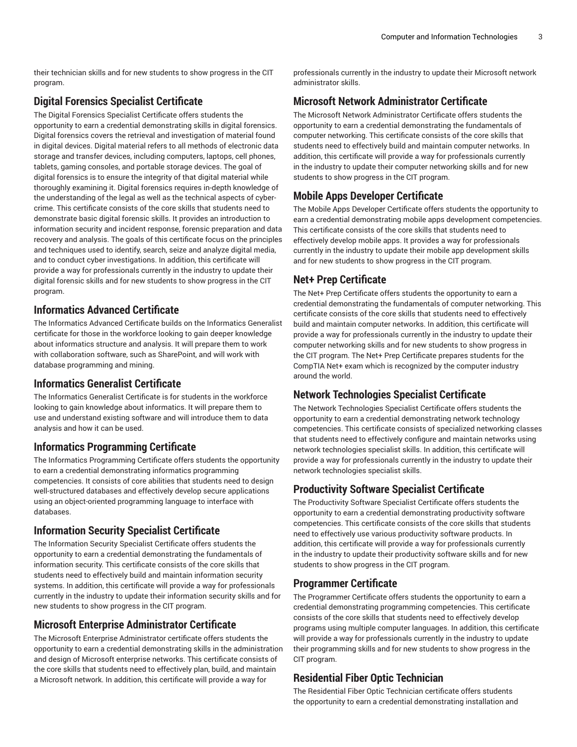their technician skills and for new students to show progress in the CIT program.

#### **Digital Forensics Specialist Certificate**

The Digital Forensics Specialist Certificate offers students the opportunity to earn a credential demonstrating skills in digital forensics. Digital forensics covers the retrieval and investigation of material found in digital devices. Digital material refers to all methods of electronic data storage and transfer devices, including computers, laptops, cell phones, tablets, gaming consoles, and portable storage devices. The goal of digital forensics is to ensure the integrity of that digital material while thoroughly examining it. Digital forensics requires in-depth knowledge of the understanding of the legal as well as the technical aspects of cybercrime. This certificate consists of the core skills that students need to demonstrate basic digital forensic skills. It provides an introduction to information security and incident response, forensic preparation and data recovery and analysis. The goals of this certificate focus on the principles and techniques used to identify, search, seize and analyze digital media, and to conduct cyber investigations. In addition, this certificate will provide a way for professionals currently in the industry to update their digital forensic skills and for new students to show progress in the CIT program.

#### **Informatics Advanced Certificate**

The Informatics Advanced Certificate builds on the Informatics Generalist certificate for those in the workforce looking to gain deeper knowledge about informatics structure and analysis. It will prepare them to work with collaboration software, such as SharePoint, and will work with database programming and mining.

#### **Informatics Generalist Certificate**

The Informatics Generalist Certificate is for students in the workforce looking to gain knowledge about informatics. It will prepare them to use and understand existing software and will introduce them to data analysis and how it can be used.

#### **Informatics Programming Certificate**

The Informatics Programming Certificate offers students the opportunity to earn a credential demonstrating informatics programming competencies. It consists of core abilities that students need to design well-structured databases and effectively develop secure applications using an object-oriented programming language to interface with databases.

#### **Information Security Specialist Certificate**

The Information Security Specialist Certificate offers students the opportunity to earn a credential demonstrating the fundamentals of information security. This certificate consists of the core skills that students need to effectively build and maintain information security systems. In addition, this certificate will provide a way for professionals currently in the industry to update their information security skills and for new students to show progress in the CIT program.

# **Microsoft Enterprise Administrator Certificate**

The Microsoft Enterprise Administrator certificate offers students the opportunity to earn a credential demonstrating skills in the administration and design of Microsoft enterprise networks. This certificate consists of the core skills that students need to effectively plan, build, and maintain a Microsoft network. In addition, this certificate will provide a way for

professionals currently in the industry to update their Microsoft network administrator skills.

### **Microsoft Network Administrator Certificate**

The Microsoft Network Administrator Certificate offers students the opportunity to earn a credential demonstrating the fundamentals of computer networking. This certificate consists of the core skills that students need to effectively build and maintain computer networks. In addition, this certificate will provide a way for professionals currently in the industry to update their computer networking skills and for new students to show progress in the CIT program.

# **Mobile Apps Developer Certificate**

The Mobile Apps Developer Certificate offers students the opportunity to earn a credential demonstrating mobile apps development competencies. This certificate consists of the core skills that students need to effectively develop mobile apps. It provides a way for professionals currently in the industry to update their mobile app development skills and for new students to show progress in the CIT program.

#### **Net+ Prep Certificate**

The Net+ Prep Certificate offers students the opportunity to earn a credential demonstrating the fundamentals of computer networking. This certificate consists of the core skills that students need to effectively build and maintain computer networks. In addition, this certificate will provide a way for professionals currently in the industry to update their computer networking skills and for new students to show progress in the CIT program. The Net+ Prep Certificate prepares students for the CompTIA Net+ exam which is recognized by the computer industry around the world.

#### **Network Technologies Specialist Certificate**

The Network Technologies Specialist Certificate offers students the opportunity to earn a credential demonstrating network technology competencies. This certificate consists of specialized networking classes that students need to effectively configure and maintain networks using network technologies specialist skills. In addition, this certificate will provide a way for professionals currently in the industry to update their network technologies specialist skills.

# **Productivity Software Specialist Certificate**

The Productivity Software Specialist Certificate offers students the opportunity to earn a credential demonstrating productivity software competencies. This certificate consists of the core skills that students need to effectively use various productivity software products. In addition, this certificate will provide a way for professionals currently in the industry to update their productivity software skills and for new students to show progress in the CIT program.

# **Programmer Certificate**

The Programmer Certificate offers students the opportunity to earn a credential demonstrating programming competencies. This certificate consists of the core skills that students need to effectively develop programs using multiple computer languages. In addition, this certificate will provide a way for professionals currently in the industry to update their programming skills and for new students to show progress in the CIT program.

#### **Residential Fiber Optic Technician**

The Residential Fiber Optic Technician certificate offers students the opportunity to earn a credential demonstrating installation and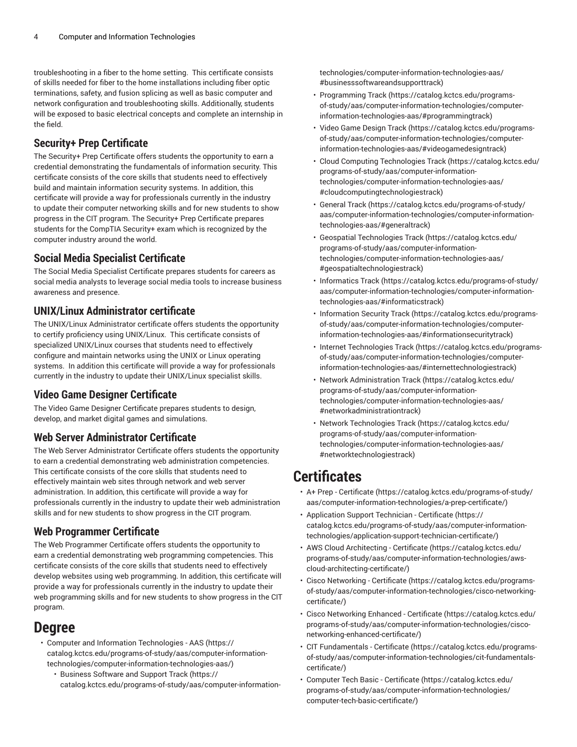troubleshooting in a fiber to the home setting. This certificate consists of skills needed for fiber to the home installations including fiber optic terminations, safety, and fusion splicing as well as basic computer and network configuration and troubleshooting skills. Additionally, students will be exposed to basic electrical concepts and complete an internship in the field.

#### **Security+ Prep Certificate**

The Security+ Prep Certificate offers students the opportunity to earn a credential demonstrating the fundamentals of information security. This certificate consists of the core skills that students need to effectively build and maintain information security systems. In addition, this certificate will provide a way for professionals currently in the industry to update their computer networking skills and for new students to show progress in the CIT program. The Security+ Prep Certificate prepares students for the CompTIA Security+ exam which is recognized by the computer industry around the world.

#### **Social Media Specialist Certificate**

The Social Media Specialist Certificate prepares students for careers as social media analysts to leverage social media tools to increase business awareness and presence.

### **UNIX/Linux Administrator certificate**

The UNIX/Linux Administrator certificate offers students the opportunity to certify proficiency using UNIX/Linux. This certificate consists of specialized UNIX/Linux courses that students need to effectively configure and maintain networks using the UNIX or Linux operating systems. In addition this certificate will provide a way for professionals currently in the industry to update their UNIX/Linux specialist skills.

#### **Video Game Designer Certificate**

The Video Game Designer Certificate prepares students to design, develop, and market digital games and simulations.

#### **Web Server Administrator Certificate**

The Web Server Administrator Certificate offers students the opportunity to earn a credential demonstrating web administration competencies. This certificate consists of the core skills that students need to effectively maintain web sites through network and web server administration. In addition, this certificate will provide a way for professionals currently in the industry to update their web administration skills and for new students to show progress in the CIT program.

#### **Web Programmer Certificate**

The Web Programmer Certificate offers students the opportunity to earn a credential demonstrating web programming competencies. This certificate consists of the core skills that students need to effectively develop websites using web programming. In addition, this certificate will provide a way for professionals currently in the industry to update their web programming skills and for new students to show progress in the CIT program.

# **Degree**

- Computer and Information [Technologies](https://catalog.kctcs.edu/programs-of-study/aas/computer-information-technologies/computer-information-technologies-aas/) AAS ([https://](https://catalog.kctcs.edu/programs-of-study/aas/computer-information-technologies/computer-information-technologies-aas/) [catalog.kctcs.edu/programs-of-study/aas/computer-information](https://catalog.kctcs.edu/programs-of-study/aas/computer-information-technologies/computer-information-technologies-aas/)[technologies/computer-information-technologies-aas/](https://catalog.kctcs.edu/programs-of-study/aas/computer-information-technologies/computer-information-technologies-aas/))
	- [Business](https://catalog.kctcs.edu/programs-of-study/aas/computer-information-technologies/computer-information-technologies-aas/#businesssoftwareandsupporttrack) Software and Support Track ([https://](https://catalog.kctcs.edu/programs-of-study/aas/computer-information-technologies/computer-information-technologies-aas/#businesssoftwareandsupporttrack) [catalog.kctcs.edu/programs-of-study/aas/computer-information-](https://catalog.kctcs.edu/programs-of-study/aas/computer-information-technologies/computer-information-technologies-aas/#businesssoftwareandsupporttrack)

[technologies/computer-information-technologies-aas/](https://catalog.kctcs.edu/programs-of-study/aas/computer-information-technologies/computer-information-technologies-aas/#businesssoftwareandsupporttrack) [#businesssoftwareandsupporttrack\)](https://catalog.kctcs.edu/programs-of-study/aas/computer-information-technologies/computer-information-technologies-aas/#businesssoftwareandsupporttrack)

- [Programming](https://catalog.kctcs.edu/programs-of-study/aas/computer-information-technologies/computer-information-technologies-aas/#programmingtrack) Track ([https://catalog.kctcs.edu/programs](https://catalog.kctcs.edu/programs-of-study/aas/computer-information-technologies/computer-information-technologies-aas/#programmingtrack)[of-study/aas/computer-information-technologies/computer](https://catalog.kctcs.edu/programs-of-study/aas/computer-information-technologies/computer-information-technologies-aas/#programmingtrack)[information-technologies-aas/#programmingtrack\)](https://catalog.kctcs.edu/programs-of-study/aas/computer-information-technologies/computer-information-technologies-aas/#programmingtrack)
- Video Game [Design](https://catalog.kctcs.edu/programs-of-study/aas/computer-information-technologies/computer-information-technologies-aas/#videogamedesigntrack) Track [\(https://catalog.kctcs.edu/programs](https://catalog.kctcs.edu/programs-of-study/aas/computer-information-technologies/computer-information-technologies-aas/#videogamedesigntrack)[of-study/aas/computer-information-technologies/computer](https://catalog.kctcs.edu/programs-of-study/aas/computer-information-technologies/computer-information-technologies-aas/#videogamedesigntrack)[information-technologies-aas/#videogamedesigntrack\)](https://catalog.kctcs.edu/programs-of-study/aas/computer-information-technologies/computer-information-technologies-aas/#videogamedesigntrack)
- Cloud Computing [Technologies](https://catalog.kctcs.edu/programs-of-study/aas/computer-information-technologies/computer-information-technologies-aas/#cloudcomputingtechnologiestrack) Track [\(https://catalog.kctcs.edu/](https://catalog.kctcs.edu/programs-of-study/aas/computer-information-technologies/computer-information-technologies-aas/#cloudcomputingtechnologiestrack) [programs-of-study/aas/computer-information](https://catalog.kctcs.edu/programs-of-study/aas/computer-information-technologies/computer-information-technologies-aas/#cloudcomputingtechnologiestrack)[technologies/computer-information-technologies-aas/](https://catalog.kctcs.edu/programs-of-study/aas/computer-information-technologies/computer-information-technologies-aas/#cloudcomputingtechnologiestrack) [#cloudcomputingtechnologiestrack\)](https://catalog.kctcs.edu/programs-of-study/aas/computer-information-technologies/computer-information-technologies-aas/#cloudcomputingtechnologiestrack)
- [General](https://catalog.kctcs.edu/programs-of-study/aas/computer-information-technologies/computer-information-technologies-aas/#generaltrack) Track [\(https://catalog.kctcs.edu/programs-of-study/](https://catalog.kctcs.edu/programs-of-study/aas/computer-information-technologies/computer-information-technologies-aas/#generaltrack) [aas/computer-information-technologies/computer-information](https://catalog.kctcs.edu/programs-of-study/aas/computer-information-technologies/computer-information-technologies-aas/#generaltrack)[technologies-aas/#generaltrack](https://catalog.kctcs.edu/programs-of-study/aas/computer-information-technologies/computer-information-technologies-aas/#generaltrack))
- Geospatial [Technologies](https://catalog.kctcs.edu/programs-of-study/aas/computer-information-technologies/computer-information-technologies-aas/#geospatialtechnologiestrack) Track [\(https://catalog.kctcs.edu/](https://catalog.kctcs.edu/programs-of-study/aas/computer-information-technologies/computer-information-technologies-aas/#geospatialtechnologiestrack) [programs-of-study/aas/computer-information](https://catalog.kctcs.edu/programs-of-study/aas/computer-information-technologies/computer-information-technologies-aas/#geospatialtechnologiestrack)[technologies/computer-information-technologies-aas/](https://catalog.kctcs.edu/programs-of-study/aas/computer-information-technologies/computer-information-technologies-aas/#geospatialtechnologiestrack) [#geospatialtechnologiestrack\)](https://catalog.kctcs.edu/programs-of-study/aas/computer-information-technologies/computer-information-technologies-aas/#geospatialtechnologiestrack)
- [Informatics](https://catalog.kctcs.edu/programs-of-study/aas/computer-information-technologies/computer-information-technologies-aas/#informaticstrack) Track [\(https://catalog.kctcs.edu/programs-of-study/](https://catalog.kctcs.edu/programs-of-study/aas/computer-information-technologies/computer-information-technologies-aas/#informaticstrack) [aas/computer-information-technologies/computer-information](https://catalog.kctcs.edu/programs-of-study/aas/computer-information-technologies/computer-information-technologies-aas/#informaticstrack)[technologies-aas/#informaticstrack\)](https://catalog.kctcs.edu/programs-of-study/aas/computer-information-technologies/computer-information-technologies-aas/#informaticstrack)
- [Information](https://catalog.kctcs.edu/programs-of-study/aas/computer-information-technologies/computer-information-technologies-aas/#informationsecuritytrack) Security Track [\(https://catalog.kctcs.edu/programs](https://catalog.kctcs.edu/programs-of-study/aas/computer-information-technologies/computer-information-technologies-aas/#informationsecuritytrack)[of-study/aas/computer-information-technologies/computer](https://catalog.kctcs.edu/programs-of-study/aas/computer-information-technologies/computer-information-technologies-aas/#informationsecuritytrack)[information-technologies-aas/#informationsecuritytrack\)](https://catalog.kctcs.edu/programs-of-study/aas/computer-information-technologies/computer-information-technologies-aas/#informationsecuritytrack)
- Internet [Technologies](https://catalog.kctcs.edu/programs-of-study/aas/computer-information-technologies/computer-information-technologies-aas/#internettechnologiestrack) Track ([https://catalog.kctcs.edu/programs](https://catalog.kctcs.edu/programs-of-study/aas/computer-information-technologies/computer-information-technologies-aas/#internettechnologiestrack)[of-study/aas/computer-information-technologies/computer](https://catalog.kctcs.edu/programs-of-study/aas/computer-information-technologies/computer-information-technologies-aas/#internettechnologiestrack)[information-technologies-aas/#internettechnologiestrack\)](https://catalog.kctcs.edu/programs-of-study/aas/computer-information-technologies/computer-information-technologies-aas/#internettechnologiestrack)
- Network [Administration](https://catalog.kctcs.edu/programs-of-study/aas/computer-information-technologies/computer-information-technologies-aas/#networkadministrationtrack) Track [\(https://catalog.kctcs.edu/](https://catalog.kctcs.edu/programs-of-study/aas/computer-information-technologies/computer-information-technologies-aas/#networkadministrationtrack) [programs-of-study/aas/computer-information](https://catalog.kctcs.edu/programs-of-study/aas/computer-information-technologies/computer-information-technologies-aas/#networkadministrationtrack)[technologies/computer-information-technologies-aas/](https://catalog.kctcs.edu/programs-of-study/aas/computer-information-technologies/computer-information-technologies-aas/#networkadministrationtrack) [#networkadministrationtrack\)](https://catalog.kctcs.edu/programs-of-study/aas/computer-information-technologies/computer-information-technologies-aas/#networkadministrationtrack)
- Network [Technologies](https://catalog.kctcs.edu/programs-of-study/aas/computer-information-technologies/computer-information-technologies-aas/#networktechnologiestrack) Track ([https://catalog.kctcs.edu/](https://catalog.kctcs.edu/programs-of-study/aas/computer-information-technologies/computer-information-technologies-aas/#networktechnologiestrack) [programs-of-study/aas/computer-information](https://catalog.kctcs.edu/programs-of-study/aas/computer-information-technologies/computer-information-technologies-aas/#networktechnologiestrack)[technologies/computer-information-technologies-aas/](https://catalog.kctcs.edu/programs-of-study/aas/computer-information-technologies/computer-information-technologies-aas/#networktechnologiestrack) [#networktechnologiestrack\)](https://catalog.kctcs.edu/programs-of-study/aas/computer-information-technologies/computer-information-technologies-aas/#networktechnologiestrack)

# **Certificates**

- A+ Prep [Certificate \(https://catalog.kctcs.edu/programs-of-study/](https://catalog.kctcs.edu/programs-of-study/aas/computer-information-technologies/a-prep-certificate/) [aas/computer-information-technologies/a-prep-certificate/](https://catalog.kctcs.edu/programs-of-study/aas/computer-information-technologies/a-prep-certificate/))
- [Application](https://catalog.kctcs.edu/programs-of-study/aas/computer-information-technologies/application-support-technician-certificate/) Support Technician Certificate ([https://](https://catalog.kctcs.edu/programs-of-study/aas/computer-information-technologies/application-support-technician-certificate/) [catalog.kctcs.edu/programs-of-study/aas/computer-information](https://catalog.kctcs.edu/programs-of-study/aas/computer-information-technologies/application-support-technician-certificate/)[technologies/application-support-technician-certificate/](https://catalog.kctcs.edu/programs-of-study/aas/computer-information-technologies/application-support-technician-certificate/))
- AWS Cloud [Architecting](https://catalog.kctcs.edu/programs-of-study/aas/computer-information-technologies/aws-cloud-architecting-certificate/) Certificate ([https://catalog.kctcs.edu/](https://catalog.kctcs.edu/programs-of-study/aas/computer-information-technologies/aws-cloud-architecting-certificate/) [programs-of-study/aas/computer-information-technologies/aws](https://catalog.kctcs.edu/programs-of-study/aas/computer-information-technologies/aws-cloud-architecting-certificate/)[cloud-architecting-certificate/\)](https://catalog.kctcs.edu/programs-of-study/aas/computer-information-technologies/aws-cloud-architecting-certificate/)
- Cisco [Networking](https://catalog.kctcs.edu/programs-of-study/aas/computer-information-technologies/cisco-networking-certificate/) Certificate [\(https://catalog.kctcs.edu/programs](https://catalog.kctcs.edu/programs-of-study/aas/computer-information-technologies/cisco-networking-certificate/)[of-study/aas/computer-information-technologies/cisco-networking](https://catalog.kctcs.edu/programs-of-study/aas/computer-information-technologies/cisco-networking-certificate/)[certificate/\)](https://catalog.kctcs.edu/programs-of-study/aas/computer-information-technologies/cisco-networking-certificate/)
- Cisco [Networking](https://catalog.kctcs.edu/programs-of-study/aas/computer-information-technologies/cisco-networking-enhanced-certificate/) Enhanced Certificate [\(https://catalog.kctcs.edu/](https://catalog.kctcs.edu/programs-of-study/aas/computer-information-technologies/cisco-networking-enhanced-certificate/) [programs-of-study/aas/computer-information-technologies/cisco](https://catalog.kctcs.edu/programs-of-study/aas/computer-information-technologies/cisco-networking-enhanced-certificate/)[networking-enhanced-certificate/](https://catalog.kctcs.edu/programs-of-study/aas/computer-information-technologies/cisco-networking-enhanced-certificate/))
- CIT [Fundamentals](https://catalog.kctcs.edu/programs-of-study/aas/computer-information-technologies/cit-fundamentals-certificate/) Certificate ([https://catalog.kctcs.edu/programs](https://catalog.kctcs.edu/programs-of-study/aas/computer-information-technologies/cit-fundamentals-certificate/)[of-study/aas/computer-information-technologies/cit-fundamentals](https://catalog.kctcs.edu/programs-of-study/aas/computer-information-technologies/cit-fundamentals-certificate/)[certificate/\)](https://catalog.kctcs.edu/programs-of-study/aas/computer-information-technologies/cit-fundamentals-certificate/)
- Computer Tech Basic [Certificate](https://catalog.kctcs.edu/programs-of-study/aas/computer-information-technologies/computer-tech-basic-certificate/) ([https://catalog.kctcs.edu/](https://catalog.kctcs.edu/programs-of-study/aas/computer-information-technologies/computer-tech-basic-certificate/) [programs-of-study/aas/computer-information-technologies/](https://catalog.kctcs.edu/programs-of-study/aas/computer-information-technologies/computer-tech-basic-certificate/) [computer-tech-basic-certificate/](https://catalog.kctcs.edu/programs-of-study/aas/computer-information-technologies/computer-tech-basic-certificate/))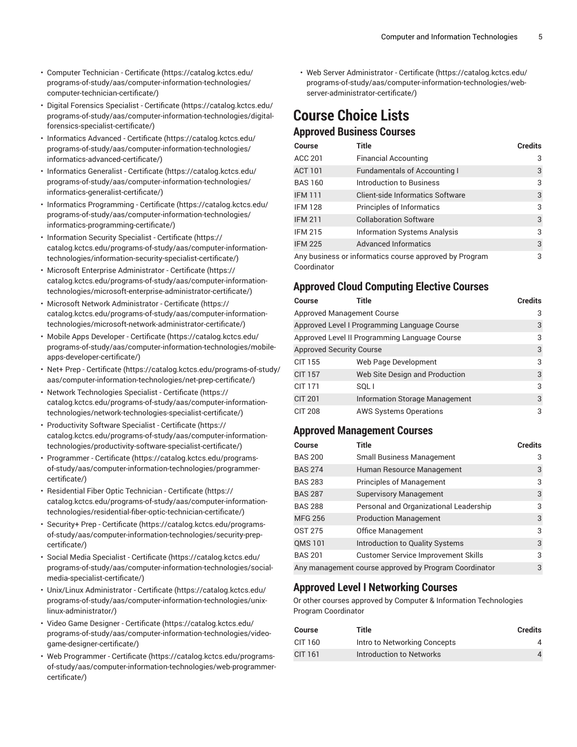- Computer [Technician](https://catalog.kctcs.edu/programs-of-study/aas/computer-information-technologies/computer-technician-certificate/) Certificate [\(https://catalog.kctcs.edu/](https://catalog.kctcs.edu/programs-of-study/aas/computer-information-technologies/computer-technician-certificate/) [programs-of-study/aas/computer-information-technologies/](https://catalog.kctcs.edu/programs-of-study/aas/computer-information-technologies/computer-technician-certificate/) [computer-technician-certificate/\)](https://catalog.kctcs.edu/programs-of-study/aas/computer-information-technologies/computer-technician-certificate/)
- Digital Forensics Specialist [Certificate \(https://catalog.kctcs.edu/](https://catalog.kctcs.edu/programs-of-study/aas/computer-information-technologies/digital-forensics-specialist-certificate/) [programs-of-study/aas/computer-information-technologies/digital](https://catalog.kctcs.edu/programs-of-study/aas/computer-information-technologies/digital-forensics-specialist-certificate/)[forensics-specialist-certificate/\)](https://catalog.kctcs.edu/programs-of-study/aas/computer-information-technologies/digital-forensics-specialist-certificate/)
- [Informatics](https://catalog.kctcs.edu/programs-of-study/aas/computer-information-technologies/informatics-advanced-certificate/) Advanced Certificate ([https://catalog.kctcs.edu/](https://catalog.kctcs.edu/programs-of-study/aas/computer-information-technologies/informatics-advanced-certificate/) [programs-of-study/aas/computer-information-technologies/](https://catalog.kctcs.edu/programs-of-study/aas/computer-information-technologies/informatics-advanced-certificate/) [informatics-advanced-certificate/\)](https://catalog.kctcs.edu/programs-of-study/aas/computer-information-technologies/informatics-advanced-certificate/)
- [Informatics](https://catalog.kctcs.edu/programs-of-study/aas/computer-information-technologies/informatics-generalist-certificate/) Generalist Certificate ([https://catalog.kctcs.edu/](https://catalog.kctcs.edu/programs-of-study/aas/computer-information-technologies/informatics-generalist-certificate/) [programs-of-study/aas/computer-information-technologies/](https://catalog.kctcs.edu/programs-of-study/aas/computer-information-technologies/informatics-generalist-certificate/) [informatics-generalist-certificate/\)](https://catalog.kctcs.edu/programs-of-study/aas/computer-information-technologies/informatics-generalist-certificate/)
- Informatics [Programming](https://catalog.kctcs.edu/programs-of-study/aas/computer-information-technologies/informatics-programming-certificate/) Certificate [\(https://catalog.kctcs.edu/](https://catalog.kctcs.edu/programs-of-study/aas/computer-information-technologies/informatics-programming-certificate/) [programs-of-study/aas/computer-information-technologies/](https://catalog.kctcs.edu/programs-of-study/aas/computer-information-technologies/informatics-programming-certificate/) [informatics-programming-certificate/](https://catalog.kctcs.edu/programs-of-study/aas/computer-information-technologies/informatics-programming-certificate/))
- [Information](https://catalog.kctcs.edu/programs-of-study/aas/computer-information-technologies/information-security-specialist-certificate/) Security Specialist Certificate ([https://](https://catalog.kctcs.edu/programs-of-study/aas/computer-information-technologies/information-security-specialist-certificate/) [catalog.kctcs.edu/programs-of-study/aas/computer-information](https://catalog.kctcs.edu/programs-of-study/aas/computer-information-technologies/information-security-specialist-certificate/)[technologies/information-security-specialist-certificate/\)](https://catalog.kctcs.edu/programs-of-study/aas/computer-information-technologies/information-security-specialist-certificate/)
- Microsoft Enterprise [Administrator](https://catalog.kctcs.edu/programs-of-study/aas/computer-information-technologies/microsoft-enterprise-administrator-certificate/) Certificate [\(https://](https://catalog.kctcs.edu/programs-of-study/aas/computer-information-technologies/microsoft-enterprise-administrator-certificate/) [catalog.kctcs.edu/programs-of-study/aas/computer-information](https://catalog.kctcs.edu/programs-of-study/aas/computer-information-technologies/microsoft-enterprise-administrator-certificate/)[technologies/microsoft-enterprise-administrator-certificate/](https://catalog.kctcs.edu/programs-of-study/aas/computer-information-technologies/microsoft-enterprise-administrator-certificate/))
- Microsoft Network [Administrator](https://catalog.kctcs.edu/programs-of-study/aas/computer-information-technologies/microsoft-network-administrator-certificate/) Certificate ([https://](https://catalog.kctcs.edu/programs-of-study/aas/computer-information-technologies/microsoft-network-administrator-certificate/) [catalog.kctcs.edu/programs-of-study/aas/computer-information](https://catalog.kctcs.edu/programs-of-study/aas/computer-information-technologies/microsoft-network-administrator-certificate/)[technologies/microsoft-network-administrator-certificate/\)](https://catalog.kctcs.edu/programs-of-study/aas/computer-information-technologies/microsoft-network-administrator-certificate/)
- Mobile Apps Developer [Certificate \(https://catalog.kctcs.edu/](https://catalog.kctcs.edu/programs-of-study/aas/computer-information-technologies/mobile-apps-developer-certificate/) [programs-of-study/aas/computer-information-technologies/mobile](https://catalog.kctcs.edu/programs-of-study/aas/computer-information-technologies/mobile-apps-developer-certificate/)[apps-developer-certificate/](https://catalog.kctcs.edu/programs-of-study/aas/computer-information-technologies/mobile-apps-developer-certificate/))
- Net+ Prep [Certificate \(https://catalog.kctcs.edu/programs-of-study/](https://catalog.kctcs.edu/programs-of-study/aas/computer-information-technologies/net-prep-certificate/) [aas/computer-information-technologies/net-prep-certificate/](https://catalog.kctcs.edu/programs-of-study/aas/computer-information-technologies/net-prep-certificate/))
- Network [Technologies](https://catalog.kctcs.edu/programs-of-study/aas/computer-information-technologies/network-technologies-specialist-certificate/) Specialist Certificate [\(https://](https://catalog.kctcs.edu/programs-of-study/aas/computer-information-technologies/network-technologies-specialist-certificate/) [catalog.kctcs.edu/programs-of-study/aas/computer-information](https://catalog.kctcs.edu/programs-of-study/aas/computer-information-technologies/network-technologies-specialist-certificate/)[technologies/network-technologies-specialist-certificate/](https://catalog.kctcs.edu/programs-of-study/aas/computer-information-technologies/network-technologies-specialist-certificate/))
- [Productivity](https://catalog.kctcs.edu/programs-of-study/aas/computer-information-technologies/productivity-software-specialist-certificate/) Software Specialist Certificate ([https://](https://catalog.kctcs.edu/programs-of-study/aas/computer-information-technologies/productivity-software-specialist-certificate/) [catalog.kctcs.edu/programs-of-study/aas/computer-information](https://catalog.kctcs.edu/programs-of-study/aas/computer-information-technologies/productivity-software-specialist-certificate/)[technologies/productivity-software-specialist-certificate/](https://catalog.kctcs.edu/programs-of-study/aas/computer-information-technologies/productivity-software-specialist-certificate/))
- [Programmer](https://catalog.kctcs.edu/programs-of-study/aas/computer-information-technologies/programmer-certificate/) Certificate ([https://catalog.kctcs.edu/programs](https://catalog.kctcs.edu/programs-of-study/aas/computer-information-technologies/programmer-certificate/)[of-study/aas/computer-information-technologies/programmer](https://catalog.kctcs.edu/programs-of-study/aas/computer-information-technologies/programmer-certificate/)[certificate/](https://catalog.kctcs.edu/programs-of-study/aas/computer-information-technologies/programmer-certificate/))
- [Residential](https://catalog.kctcs.edu/programs-of-study/aas/computer-information-technologies/residential-fiber-optic-technician-certificate/) Fiber Optic Technician Certificate [\(https://](https://catalog.kctcs.edu/programs-of-study/aas/computer-information-technologies/residential-fiber-optic-technician-certificate/) [catalog.kctcs.edu/programs-of-study/aas/computer-information](https://catalog.kctcs.edu/programs-of-study/aas/computer-information-technologies/residential-fiber-optic-technician-certificate/)[technologies/residential-fiber-optic-technician-certificate/\)](https://catalog.kctcs.edu/programs-of-study/aas/computer-information-technologies/residential-fiber-optic-technician-certificate/)
- Security+ Prep [Certificate \(https://catalog.kctcs.edu/programs](https://catalog.kctcs.edu/programs-of-study/aas/computer-information-technologies/security-prep-certificate/)[of-study/aas/computer-information-technologies/security-prep](https://catalog.kctcs.edu/programs-of-study/aas/computer-information-technologies/security-prep-certificate/)[certificate/](https://catalog.kctcs.edu/programs-of-study/aas/computer-information-technologies/security-prep-certificate/))
- Social Media Specialist [Certificate \(https://catalog.kctcs.edu/](https://catalog.kctcs.edu/programs-of-study/aas/computer-information-technologies/social-media-specialist-certificate/) [programs-of-study/aas/computer-information-technologies/social](https://catalog.kctcs.edu/programs-of-study/aas/computer-information-technologies/social-media-specialist-certificate/)[media-specialist-certificate/](https://catalog.kctcs.edu/programs-of-study/aas/computer-information-technologies/social-media-specialist-certificate/))
- Unix/Linux [Administrator](https://catalog.kctcs.edu/programs-of-study/aas/computer-information-technologies/unix-linux-administrator/) Certificate ([https://catalog.kctcs.edu/](https://catalog.kctcs.edu/programs-of-study/aas/computer-information-technologies/unix-linux-administrator/) [programs-of-study/aas/computer-information-technologies/unix](https://catalog.kctcs.edu/programs-of-study/aas/computer-information-technologies/unix-linux-administrator/)[linux-administrator/](https://catalog.kctcs.edu/programs-of-study/aas/computer-information-technologies/unix-linux-administrator/))
- Video Game Designer [Certificate](https://catalog.kctcs.edu/programs-of-study/aas/computer-information-technologies/video-game-designer-certificate/) ([https://catalog.kctcs.edu/](https://catalog.kctcs.edu/programs-of-study/aas/computer-information-technologies/video-game-designer-certificate/) [programs-of-study/aas/computer-information-technologies/video](https://catalog.kctcs.edu/programs-of-study/aas/computer-information-technologies/video-game-designer-certificate/)[game-designer-certificate/\)](https://catalog.kctcs.edu/programs-of-study/aas/computer-information-technologies/video-game-designer-certificate/)
- Web [Programmer](https://catalog.kctcs.edu/programs-of-study/aas/computer-information-technologies/web-programmer-certificate/) Certificate [\(https://catalog.kctcs.edu/programs](https://catalog.kctcs.edu/programs-of-study/aas/computer-information-technologies/web-programmer-certificate/)[of-study/aas/computer-information-technologies/web-programmer](https://catalog.kctcs.edu/programs-of-study/aas/computer-information-technologies/web-programmer-certificate/)[certificate/](https://catalog.kctcs.edu/programs-of-study/aas/computer-information-technologies/web-programmer-certificate/))

• Web Server [Administrator](https://catalog.kctcs.edu/programs-of-study/aas/computer-information-technologies/web-server-administrator-certificate/) - Certificate [\(https://catalog.kctcs.edu/](https://catalog.kctcs.edu/programs-of-study/aas/computer-information-technologies/web-server-administrator-certificate/) [programs-of-study/aas/computer-information-technologies/web](https://catalog.kctcs.edu/programs-of-study/aas/computer-information-technologies/web-server-administrator-certificate/)[server-administrator-certificate/\)](https://catalog.kctcs.edu/programs-of-study/aas/computer-information-technologies/web-server-administrator-certificate/)

# **Course Choice Lists**

# **Approved Business Courses**

| <b>Course</b>  | <b>Title</b>                                           | <b>Credits</b> |
|----------------|--------------------------------------------------------|----------------|
| ACC 201        | <b>Financial Accounting</b>                            | 3              |
| <b>ACT 101</b> | <b>Fundamentals of Accounting I</b>                    | 3              |
| <b>BAS 160</b> | Introduction to Business                               | 3              |
| <b>IFM 111</b> | Client-side Informatics Software                       | 3              |
| <b>IFM 128</b> | Principles of Informatics                              | 3              |
| <b>IFM 211</b> | <b>Collaboration Software</b>                          | 3              |
| <b>IFM 215</b> | <b>Information Systems Analysis</b>                    | 3              |
| <b>IFM 225</b> | <b>Advanced Informatics</b>                            | 3              |
| Coordinator    | Any business or informatics course approved by Program | 3              |

# **Approved Cloud Computing Elective Courses**

| Course                          | Title                                         | <b>Credits</b> |
|---------------------------------|-----------------------------------------------|----------------|
| Approved Management Course      |                                               | 3              |
|                                 | Approved Level I Programming Language Course  | 3              |
|                                 | Approved Level II Programming Language Course | 3              |
| <b>Approved Security Course</b> |                                               | 3              |
| <b>CIT 155</b>                  | Web Page Development                          | 3              |
| <b>CIT 157</b>                  | Web Site Design and Production                | 3              |
| CIT 171                         | SQL I                                         | 3              |
| <b>CIT 201</b>                  | Information Storage Management                | 3              |
| <b>CIT 208</b>                  | <b>AWS Systems Operations</b>                 | 3              |

#### **Approved Management Courses**

| <b>Course</b>  | <b>Title</b>                                          | <b>Credits</b> |
|----------------|-------------------------------------------------------|----------------|
| <b>BAS 200</b> | <b>Small Business Management</b>                      | 3              |
| <b>BAS 274</b> | Human Resource Management                             | 3              |
| <b>BAS 283</b> | <b>Principles of Management</b>                       | 3              |
| <b>BAS 287</b> | <b>Supervisory Management</b>                         | 3              |
| <b>BAS 288</b> | Personal and Organizational Leadership                | 3              |
| <b>MFG 256</b> | <b>Production Management</b>                          | 3              |
| <b>OST 275</b> | Office Management                                     | 3              |
| <b>QMS 101</b> | Introduction to Quality Systems                       | 3              |
| <b>BAS 201</b> | <b>Customer Service Improvement Skills</b>            | 3              |
|                | Any management course approved by Program Coordinator | 3              |

# **Approved Level I Networking Courses**

Or other courses approved by Computer & Information Technologies Program Coordinator

| <b>Course</b> | Title                        | <b>Credits</b> |
|---------------|------------------------------|----------------|
| CIT 160       | Intro to Networking Concepts | 4              |
| CIT 161       | Introduction to Networks     | 4              |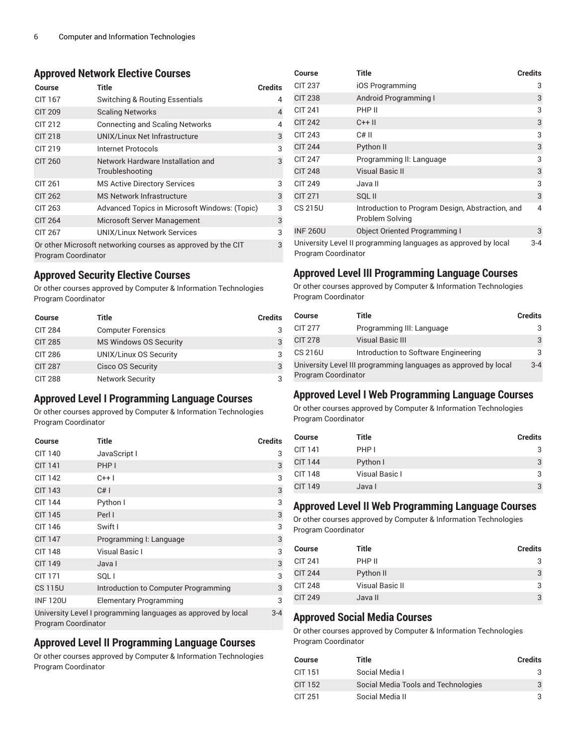#### **Approved Network Elective Courses**

| Course                                                                                   | Title                                                | <b>Credits</b> |  |
|------------------------------------------------------------------------------------------|------------------------------------------------------|----------------|--|
| CIT 167                                                                                  | Switching & Routing Essentials                       | 4              |  |
| <b>CIT 209</b>                                                                           | <b>Scaling Networks</b>                              | 4              |  |
| CIT 212                                                                                  | <b>Connecting and Scaling Networks</b>               | 4              |  |
| <b>CIT 218</b>                                                                           | <b>UNIX/Linux Net Infrastructure</b>                 | 3              |  |
| CIT 219                                                                                  | Internet Protocols                                   | 3              |  |
| <b>CIT 260</b>                                                                           | Network Hardware Installation and<br>Troubleshooting | 3              |  |
| CIT 261                                                                                  | <b>MS Active Directory Services</b>                  | 3              |  |
| <b>CIT 262</b>                                                                           | MS Network Infrastructure                            | 3              |  |
| CIT 263                                                                                  | Advanced Topics in Microsoft Windows: (Topic)        | 3              |  |
| <b>CIT 264</b>                                                                           | Microsoft Server Management                          | 3              |  |
| CIT 267                                                                                  | UNIX/Linux Network Services                          | 3              |  |
| Or other Microsoft networking courses as approved by the CIT<br>3<br>Program Coordinator |                                                      |                |  |

#### **Approved Security Elective Courses**

Or other courses approved by Computer & Information Technologies Program Coordinator

| <b>Course</b>  | Title                         | <b>Credits</b> |
|----------------|-------------------------------|----------------|
| <b>CIT 284</b> | <b>Computer Forensics</b>     |                |
| <b>CIT 285</b> | <b>MS Windows OS Security</b> | 3              |
| <b>CIT 286</b> | UNIX/Linux OS Security        | 3              |
| <b>CIT 287</b> | <b>Cisco OS Security</b>      | 3              |
| <b>CIT 288</b> | <b>Network Security</b>       | 3              |

#### **Approved Level I Programming Language Courses**

Or other courses approved by Computer & Information Technologies Program Coordinator

| <b>Course</b>       | Title                                                         | <b>Credits</b> |
|---------------------|---------------------------------------------------------------|----------------|
| <b>CIT 140</b>      | JavaScript I                                                  | 3              |
| <b>CIT 141</b>      | PHP I                                                         | 3              |
| CIT 142             | $C++$ l                                                       | 3              |
| <b>CIT 143</b>      | C#I                                                           | 3              |
| <b>CIT 144</b>      | Python I                                                      | 3              |
| <b>CIT 145</b>      | Perl I                                                        | 3              |
| CIT 146             | Swift I                                                       | 3              |
| <b>CIT 147</b>      | Programming I: Language                                       | 3              |
| <b>CIT 148</b>      | Visual Basic I                                                | 3              |
| <b>CIT 149</b>      | Java I                                                        | 3              |
| <b>CIT 171</b>      | SQL I                                                         | 3              |
| <b>CS 115U</b>      | Introduction to Computer Programming                          | 3              |
| <b>INF120U</b>      | <b>Elementary Programming</b>                                 | 3              |
| Program Coordinator | University Level I programming languages as approved by local | $3 - 4$        |

#### **Approved Level II Programming Language Courses**

Or other courses approved by Computer & Information Technologies Program Coordinator

| Course          | <b>Title</b>                                                        | <b>Credits</b> |
|-----------------|---------------------------------------------------------------------|----------------|
| <b>CIT 237</b>  | iOS Programming                                                     | 3              |
| <b>CIT 238</b>  | Android Programming I                                               | 3              |
| <b>CIT 241</b>  | PHP II                                                              | 3              |
| <b>CIT 242</b>  | $C++$ II                                                            | 3              |
| <b>CIT 243</b>  | $C#$ II                                                             | 3              |
| <b>CIT 244</b>  | Python II                                                           | 3              |
| <b>CIT 247</b>  | Programming II: Language                                            | 3              |
| <b>CIT 248</b>  | <b>Visual Basic II</b>                                              | 3              |
| <b>CIT 249</b>  | Java II                                                             | 3              |
| <b>CIT 271</b>  | SQL II                                                              | 3              |
| CS 215U         | Introduction to Program Design, Abstraction, and<br>Problem Solving | 4              |
| <b>INF 260U</b> | <b>Object Oriented Programming I</b>                                | 3              |
|                 | University Level II programming languages as approved by local      | $3 - 4$        |

Program Coordinator

# **Approved Level III Programming Language Courses**

Or other courses approved by Computer & Information Technologies Program Coordinator

| Course                                                                                        | Title                                | Credits |
|-----------------------------------------------------------------------------------------------|--------------------------------------|---------|
| <b>CIT 277</b>                                                                                | Programming III: Language            | 3       |
| <b>CIT 278</b>                                                                                | <b>Visual Basic III</b>              | 3       |
| CS 216U                                                                                       | Introduction to Software Engineering | 3       |
| University Level III programming languages as approved by local<br><b>Program Coordinator</b> |                                      |         |

#### **Approved Level I Web Programming Language Courses**

Or other courses approved by Computer & Information Technologies Program Coordinator

| <b>Course</b> | Title          | <b>Credits</b> |
|---------------|----------------|----------------|
| CIT 141       | PHP I          | 3              |
| CIT 144       | Python I       | 3              |
| CIT 148       | Visual Basic I | 3              |
| CIT 149       | Java I         | 3              |

# **Approved Level II Web Programming Language Courses**

Or other courses approved by Computer & Information Technologies Program Coordinator

| <b>Course</b>  | Title           | Credits |
|----------------|-----------------|---------|
| <b>CIT 241</b> | PHP II          | 3       |
| <b>CIT 244</b> | Python II       | 3       |
| <b>CIT 248</b> | Visual Basic II | 3       |
| <b>CIT 249</b> | Java II         | 3       |

# **Approved Social Media Courses**

Or other courses approved by Computer & Information Technologies Program Coordinator

| <b>Course</b> | Title                               | <b>Credits</b> |
|---------------|-------------------------------------|----------------|
| CIT 151       | Social Media I                      |                |
| CIT 152       | Social Media Tools and Technologies | 3              |
| CIT 251       | Social Media II                     |                |